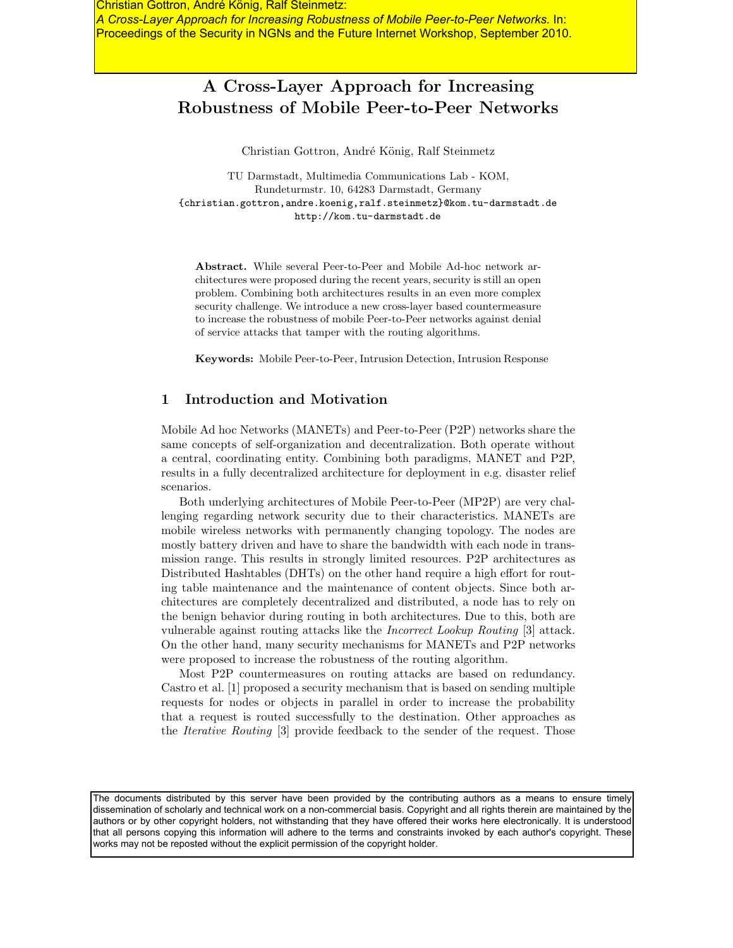Christian Gottron, André König, Ralf Steinmetz: *A Cross-Layer Approach for Increasing Robustness of Mobile Peer-to-Peer Networks.* In: Proceedings of the Security in NGNs and the Future Internet Workshop, September 2010.

## **A Cross-Layer Approach for Increasing Robustness of Mobile Peer-to-Peer Networks**

Christian Gottron, André König, Ralf Steinmetz

TU Darmstadt, Multimedia Communications Lab - KOM, Rundeturmstr. 10, 64283 Darmstadt, Germany {christian.gottron,andre.koenig,ralf.steinmetz}@kom.tu-darmstadt.de http://kom.tu-darmstadt.de

**Abstract.** While several Peer-to-Peer and Mobile Ad-hoc network architectures were proposed during the recent years, security is still an open problem. Combining both architectures results in an even more complex security challenge. We introduce a new cross-layer based countermeasure to increase the robustness of mobile Peer-to-Peer networks against denial of service attacks that tamper with the routing algorithms.

**Keywords:** Mobile Peer-to-Peer, Intrusion Detection, Intrusion Response

## **1 Introduction and Motivation**

Mobile Ad hoc Networks (MANETs) and Peer-to-Peer (P2P) networks share the same concepts of self-organization and decentralization. Both operate without a central, coordinating entity. Combining both paradigms, MANET and P2P, results in a fully decentralized architecture for deployment in e.g. disaster relief scenarios.

Both underlying architectures of Mobile Peer-to-Peer (MP2P) are very challenging regarding network security due to their characteristics. MANETs are mobile wireless networks with permanently changing topology. The nodes are mostly battery driven and have to share the bandwidth with each node in transmission range. This results in strongly limited resources. P2P architectures as Distributed Hashtables (DHTs) on the other hand require a high effort for routing table maintenance and the maintenance of content objects. Since both architectures are completely decentralized and distributed, a node has to rely on the benign behavior during routing in both architectures. Due to this, both are vulnerable against routing attacks like the *Incorrect Lookup Routing* [3] attack. On the other hand, many security mechanisms for MANETs and P2P networks were proposed to increase the robustness of the routing algorithm.

Most P2P countermeasures on routing attacks are based on redundancy. Castro et al. [1] proposed a security mechanism that is based on sending multiple requests for nodes or objects in parallel in order to increase the probability that a request is routed successfully to the destination. Other approaches as the *Iterative Routing* [3] provide feedback to the sender of the request. Those

The documents distributed by this server have been provided by the contributing authors as a means to ensure timely dissemination of scholarly and technical work on a non-commercial basis. Copyright and all rights therein are maintained by the authors or by other copyright holders, not withstanding that they have offered their works here electronically. It is understood that all persons copying this information will adhere to the terms and constraints invoked by each author's copyright. These works may not be reposted without the explicit permission of the copyright holder.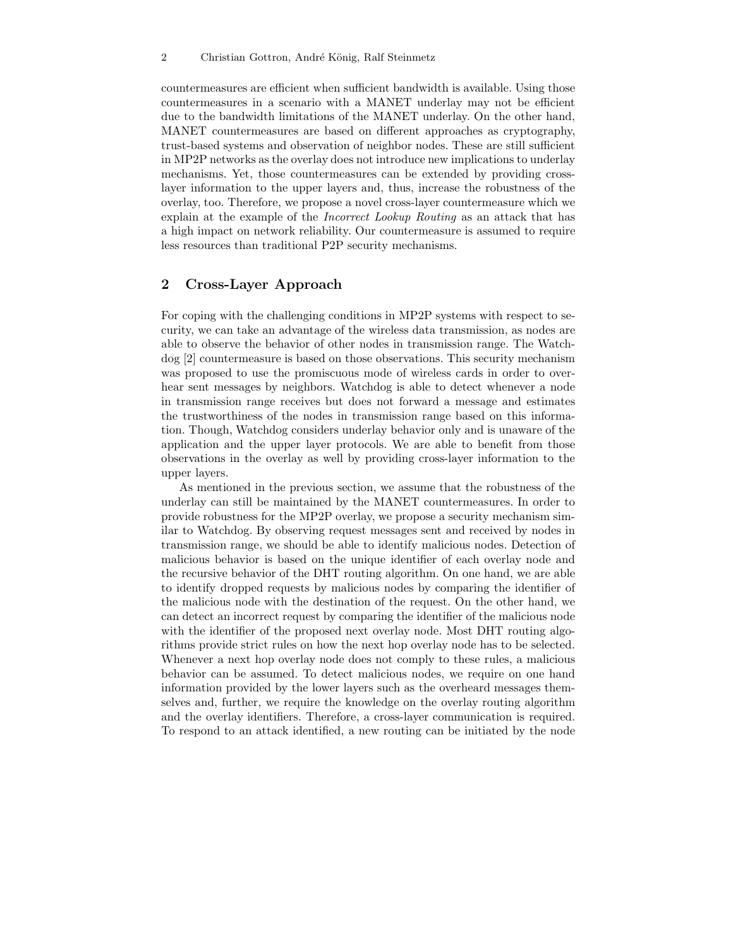countermeasures are efficient when sufficient bandwidth is available. Using those countermeasures in a scenario with a MANET underlay may not be efficient due to the bandwidth limitations of the MANET underlay. On the other hand, MANET countermeasures are based on different approaches as cryptography, trust-based systems and observation of neighbor nodes. These are still sufficient in MP2P networks as the overlay does not introduce new implications to underlay mechanisms. Yet, those countermeasures can be extended by providing crosslayer information to the upper layers and, thus, increase the robustness of the overlay, too. Therefore, we propose a novel cross-layer countermeasure which we explain at the example of the *Incorrect Lookup Routing* as an attack that has a high impact on network reliability. Our countermeasure is assumed to require less resources than traditional P2P security mechanisms.

## **2 Cross-Layer Approach**

For coping with the challenging conditions in MP2P systems with respect to security, we can take an advantage of the wireless data transmission, as nodes are able to observe the behavior of other nodes in transmission range. The Watchdog [2] countermeasure is based on those observations. This security mechanism was proposed to use the promiscuous mode of wireless cards in order to overhear sent messages by neighbors. Watchdog is able to detect whenever a node in transmission range receives but does not forward a message and estimates the trustworthiness of the nodes in transmission range based on this information. Though, Watchdog considers underlay behavior only and is unaware of the application and the upper layer protocols. We are able to benefit from those observations in the overlay as well by providing cross-layer information to the upper layers.

As mentioned in the previous section, we assume that the robustness of the underlay can still be maintained by the MANET countermeasures. In order to provide robustness for the MP2P overlay, we propose a security mechanism similar to Watchdog. By observing request messages sent and received by nodes in transmission range, we should be able to identify malicious nodes. Detection of malicious behavior is based on the unique identifier of each overlay node and the recursive behavior of the DHT routing algorithm. On one hand, we are able to identify dropped requests by malicious nodes by comparing the identifier of the malicious node with the destination of the request. On the other hand, we can detect an incorrect request by comparing the identifier of the malicious node with the identifier of the proposed next overlay node. Most DHT routing algorithms provide strict rules on how the next hop overlay node has to be selected. Whenever a next hop overlay node does not comply to these rules, a malicious behavior can be assumed. To detect malicious nodes, we require on one hand information provided by the lower layers such as the overheard messages themselves and, further, we require the knowledge on the overlay routing algorithm and the overlay identifiers. Therefore, a cross-layer communication is required. To respond to an attack identified, a new routing can be initiated by the node